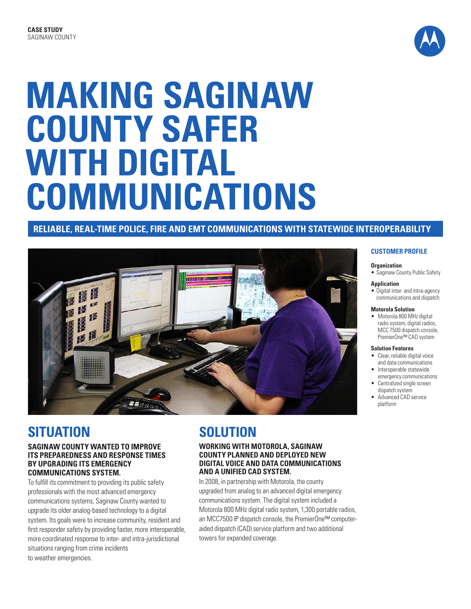

# **MAKING SAGINAW COUNTY SAFER WITH DIGITAL COMMUNICATIONS**

#### **RELIABLE, REAL-TIME POLICE, FIRE AND EMT COMMUNICATIONS WITH STATEWIDE INTEROPERABILITY**



# **SITUATION**

#### **SAGINAW COUNTY WANTED TO IMPROVE ITS PREPAREDNESS AND RESPONSE TIMES BY UPGRADING ITS EMERGENCY COMMUNICATIONS SYSTEM.**

To fulfill its commitment to providing its public safety professionals with the most advanced emergency communications systems, Saginaw County wanted to upgrade its older analog-based technology to a digital system. Its goals were to increase community, resident and first responder safety by providing faster, more interoperable, more coordinated response to inter- and intra-jurisdictional situations ranging from crime incidents to weather emergencies.

# **SOLUTION**

#### **WORKING WITH MOTOROLA, SAGINAW COUNTY PLANNED AND DEPLOYED NEW DIGITAL VOICE AND DATA COMMUNICATIONS AND A UNIFIED CAD SYSTEM.**

In 2008, in partnership with Motorola, the county upgraded from analog to an advanced digital emergency communications system. The digital system included a Motorola 800 MHz digital radio system, 1,300 portable radios, an MCC7500 IP dispatch console, the PremierOne™ computeraided dispatch (CAD) service platform and two additional towers for expanded coverage.

#### **CUSTOMER PROFILE**

#### **Organization**

• Saginaw County Public Safety

#### **Application**

• Digital inter- and intra-agency communications and dispatch

#### **Motorola Solution**

• Motorola 800 MHz digital radio system, digital radios. MCC 7500 dispatch console, PremierOne™ CAD system

#### **Solution Features**

- Clear, reliable digital voice and data communications
- • Interoperable statewide emergency communications
- Centralized single screen dispatch system
- Advanced CAD service platform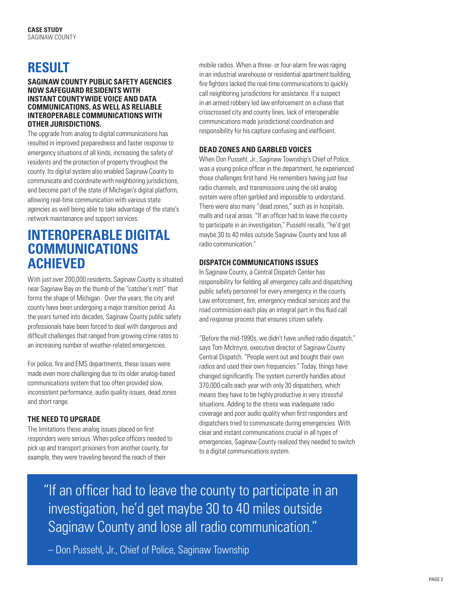# **RESULT**

#### **SAGINAW COUNTY PUBLIC SAFETY AGENCIES NOW SAFEGUARD RESIDENTS WITH INSTANT COUNTYWIDE VOICE AND DATA COMMUNICATIONS, AS WELL AS RELIABLE INTEROPERABLE COMMUNICATIONS WITH OTHER JURISDICTIONS.**

The upgrade from analog to digital communications has resulted in improved preparedness and faster response to emergency situations of all kinds, increasing the safety of residents and the protection of property throughout the county. Its digital system also enabled Saginaw County to communicate and coordinate with neighboring jurisdictions, and become part of the state of Michigan's digital platform, allowing real-time communication with various state agencies as well being able to take advantage of the state's network maintenance and support services.

# **INTEROPERABLE DIGITAL COMMUNICATIONS ACHIEVED**

With just over 200,000 residents, Saginaw County is situated near Saginaw Bay on the thumb of the "catcher's mitt" that forms the shape of Michigan. Over the years, the city and county have been undergoing a major transition period. As the years turned into decades, Saginaw County public safety professionals have been forced to deal with dangerous and difficult challenges that ranged from growing crime rates to an increasing number of weather-related emergencies.

For police, fire and EMS departments, these issues were made even more challenging due to its older analog-based communications system that too often provided slow, inconsistent performance, audio quality issues, dead zones and short range.

#### **THE NEED TO UPGRADE**

The limitations these analog issues placed on first responders were serious. When police officers needed to pick up and transport prisoners from another county, for example, they were traveling beyond the reach of their

mobile radios. When a three- or four-alarm fire was raging in an industrial warehouse or residential apartment building, fire fighters lacked the real-time communications to quickly call neighboring jurisdictions for assistance. If a suspect in an armed robbery led law enforcement on a chase that crisscrossed city and county lines, lack of interoperable communications made jurisdictional coordination and responsibility for his capture confusing and inefficient.

#### **DEAD ZONES AND GARBLED VOICES**

When Don Pussehl, Jr., Saginaw Township's Chief of Police, was a young police officer in the department, he experienced those challenges first hand. He remembers having just four radio channels, and transmissions using the old analog system were often garbled and impossible to understand. There were also many "dead zones," such as in hospitals, malls and rural areas. "If an officer had to leave the county to participate in an investigation," Pussehl recalls, "he'd get maybe 30 to 40 miles outside Saginaw County and lose all radio communication."

#### **DISPATCH COMMUNICATIONS ISSUES**

In Saginaw County, a Central Dispatch Center has responsibility for fielding all emergency calls and dispatching public safety personnel for every emergency in the county. Law enforcement, fire, emergency medical services and the road commission each play an integral part in this fluid call and response process that ensures citizen safety.

"Before the mid-1990s, we didn't have unified radio dispatch," says Tom McIntyre, executive director of Saginaw County Central Dispatch. "People went out and bought their own radios and used their own frequencies." Today, things have changed significantly. The system currently handles about 370,000 calls each year with only 30 dispatchers, which means they have to be highly productive in very stressful situations. Adding to the stress was inadequate radio coverage and poor audio quality when first responders and dispatchers tried to communicate during emergencies. With clear and instant communications crucial in all types of emergencies, Saginaw County realized they needed to switch to a digital communications system.

"If an officer had to leave the county to participate in an investigation, he'd get maybe 30 to 40 miles outside Saginaw County and lose all radio communication."

– Don Pussehl, Jr., Chief of Police, Saginaw Township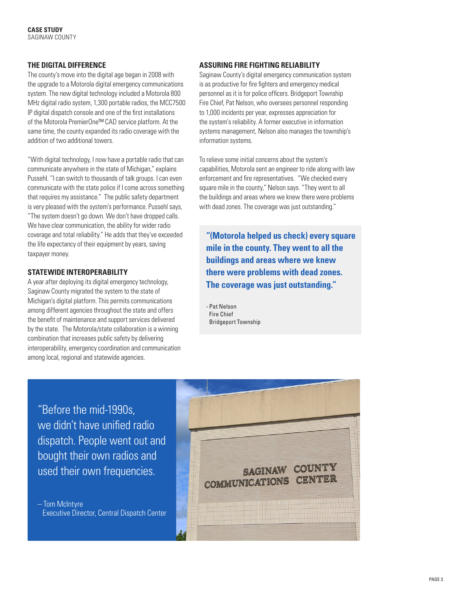#### **THE DIGITAL DIFFERENCE**

The county's move into the digital age began in 2008 with the upgrade to a Motorola digital emergency communications system. The new digital technology included a Motorola 800 MHz digital radio system, 1,300 portable radios, the MCC7500 IP digital dispatch console and one of the first installations of the Motorola PremierOne™ CAD service platform. At the same time, the county expanded its radio coverage with the addition of two additional towers.

"With digital technology, I now have a portable radio that can communicate anywhere in the state of Michigan," explains Pussehl. "I can switch to thousands of talk groups. I can even communicate with the state police if I come across something that requires my assistance." The public safety department is very pleased with the system's performance. Pussehl says, "The system doesn't go down. We don't have dropped calls. We have clear communication, the ability for wider radio coverage and total reliability." He adds that they've exceeded the life expectancy of their equipment by years, saving taxpayer money.

#### **STATEWIDE INTEROPERABILITY**

A year after deploying its digital emergency technology, Saginaw County migrated the system to the state of Michigan's digital platform. This permits communications among different agencies throughout the state and offers the benefit of maintenance and support services delivered by the state. The Motorola/state collaboration is a winning combination that increases public safety by delivering interoperability, emergency coordination and communication among local, regional and statewide agencies.

#### **ASSURING FIRE FIGHTING RELIABILITY**

Saginaw County's digital emergency communication system is as productive for fire fighters and emergency medical personnel as it is for police officers. Bridgeport Township Fire Chief, Pat Nelson, who oversees personnel responding to 1,000 incidents per year, expresses appreciation for the system's reliability. A former executive in information systems management, Nelson also manages the township's information systems.

To relieve some initial concerns about the system's capabilities, Motorola sent an engineer to ride along with law enforcement and fire representatives. "We checked every square mile in the county," Nelson says. "They went to all the buildings and areas where we knew there were problems with dead zones. The coverage was just outstanding."

**"(Motorola helped us check) every square mile in the county. They went to all the buildings and areas where we knew there were problems with dead zones. The coverage was just outstanding."**

- Pat Nelson Fire Chief Bridgeport Township

"Before the mid-1990s, we didn't have unified radio dispatch. People went out and bought their own radios and used their own frequencies.

– Tom McIntyre Executive Director, Central Dispatch Center